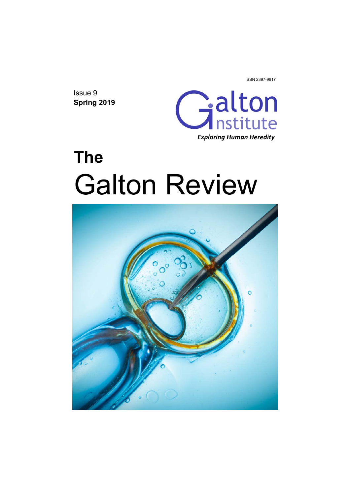ISSN 2397-9917

Issue 9 **Spring 2019** 



# **The**  Galton Review

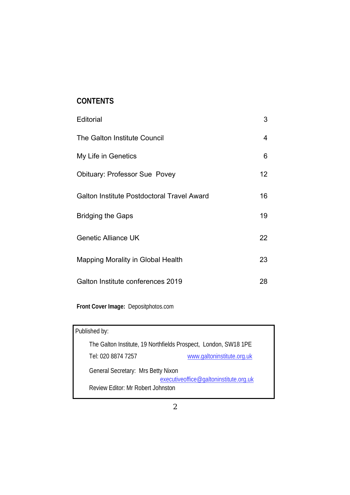# **CONTENTS**

| Editorial                                         | 3               |
|---------------------------------------------------|-----------------|
| The Galton Institute Council                      | 4               |
| My Life in Genetics                               | 6               |
| <b>Obituary: Professor Sue Povey</b>              | 12 <sup>2</sup> |
| <b>Galton Institute Postdoctoral Travel Award</b> | 16              |
| <b>Bridging the Gaps</b>                          | 19              |
| <b>Genetic Alliance UK</b>                        | 22              |
| <b>Mapping Morality in Global Health</b>          | 23              |
| Galton Institute conferences 2019                 | 28              |

**Front Cover Image:** Depositphotos.com

| Published by:                                                   |                            |  |
|-----------------------------------------------------------------|----------------------------|--|
| The Galton Institute, 19 Northfields Prospect, London, SW18 1PE |                            |  |
| Tel: 020 8874 7257                                              | www.galtoninstitute.org.uk |  |
| General Secretary: Mrs Betty Nixon                              |                            |  |
| executiveoffice@galtoninstitute.org.uk                          |                            |  |
| Review Editor: Mr Robert Johnston                               |                            |  |
|                                                                 |                            |  |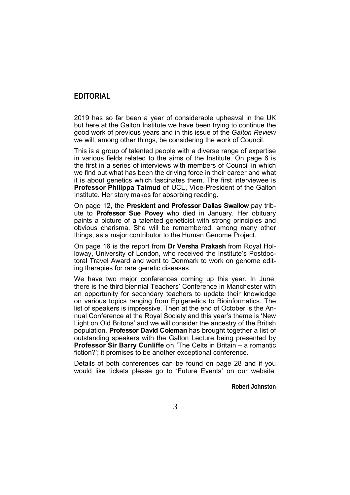# **EDITORIAL**

2019 has so far been a year of considerable upheaval in the UK but here at the Galton Institute we have been trying to continue the good work of previous years and in this issue of the *Galton Review* we will, among other things, be considering the work of Council.

This is a group of talented people with a diverse range of expertise in various fields related to the aims of the Institute. On page 6 is the first in a series of interviews with members of Council in which we find out what has been the driving force in their career and what it is about genetics which fascinates them. The first interviewee is **Professor Philippa Talmud** of UCL, Vice-President of the Galton Institute. Her story makes for absorbing reading.

On page 12, the **President and Professor Dallas Swallow** pay tribute to **Professor Sue Povey** who died in January. Her obituary paints a picture of a talented geneticist with strong principles and obvious charisma. She will be remembered, among many other things, as a major contributor to the Human Genome Project.

On page 16 is the report from **Dr Versha Prakash** from Royal Holloway, University of London, who received the Institute's Postdoctoral Travel Award and went to Denmark to work on genome editing therapies for rare genetic diseases.

We have two major conferences coming up this year. In June, there is the third biennial Teachers' Conference in Manchester with an opportunity for secondary teachers to update their knowledge on various topics ranging from Epigenetics to Bioinformatics. The list of speakers is impressive. Then at the end of October is the Annual Conference at the Royal Society and this year's theme is 'New Light on Old Britons' and we will consider the ancestry of the British population. **Professor David Coleman** has brought together a list of outstanding speakers with the Galton Lecture being presented by **Professor Sir Barry Cunliffe** on 'The Celts in Britain – a romantic fiction?'; it promises to be another exceptional conference.

Details of both conferences can be found on page 28 and if you would like tickets please go to 'Future Events' on our website.

 **Robert Johnston**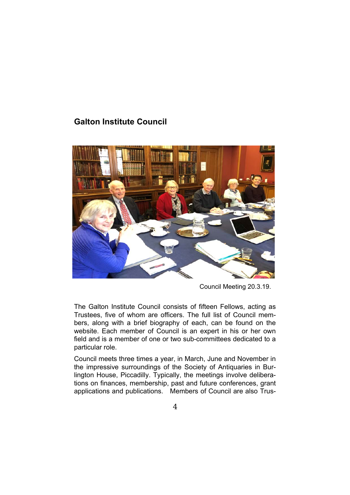# **Galton Institute Council**



Council Meeting 20.3.19.

The Galton Institute Council consists of fifteen Fellows, acting as Trustees, five of whom are officers. The full list of Council members, along with a brief biography of each, can be found on the website. Each member of Council is an expert in his or her own field and is a member of one or two sub-committees dedicated to a particular role.

Council meets three times a year, in March, June and November in the impressive surroundings of the Society of Antiquaries in Burlington House, Piccadilly. Typically, the meetings involve deliberations on finances, membership, past and future conferences, grant applications and publications. Members of Council are also Trus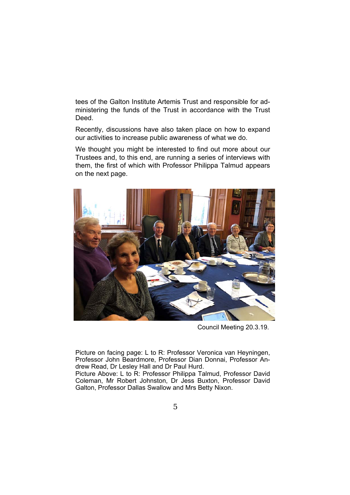tees of the Galton Institute Artemis Trust and responsible for administering the funds of the Trust in accordance with the Trust Deed.

Recently, discussions have also taken place on how to expand our activities to increase public awareness of what we do.

We thought you might be interested to find out more about our Trustees and, to this end, are running a series of interviews with them, the first of which with Professor Philippa Talmud appears on the next page.



Council Meeting 20.3.19.

Picture on facing page: L to R: Professor Veronica van Heyningen, Professor John Beardmore, Professor Dian Donnai, Professor Andrew Read, Dr Lesley Hall and Dr Paul Hurd. Picture Above: L to R: Professor Philippa Talmud, Professor David Coleman, Mr Robert Johnston, Dr Jess Buxton, Professor David Galton, Professor Dallas Swallow and Mrs Betty Nixon.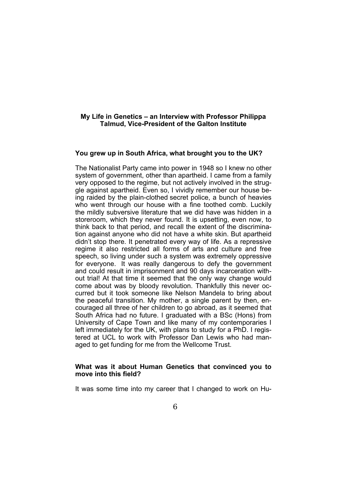#### **My Life in Genetics – an Interview with Professor Philippa Talmud, Vice-President of the Galton Institute**

#### **You grew up in South Africa, what brought you to the UK?**

The Nationalist Party came into power in 1948 so I knew no other system of government, other than apartheid. I came from a family very opposed to the regime, but not actively involved in the struggle against apartheid. Even so, I vividly remember our house being raided by the plain-clothed secret police, a bunch of heavies who went through our house with a fine toothed comb. Luckily the mildly subversive literature that we did have was hidden in a storeroom, which they never found. It is upsetting, even now, to think back to that period, and recall the extent of the discrimination against anyone who did not have a white skin. But apartheid didn't stop there. It penetrated every way of life. As a repressive regime it also restricted all forms of arts and culture and free speech, so living under such a system was extremely oppressive for everyone. It was really dangerous to defy the government and could result in imprisonment and 90 days incarceration without trial! At that time it seemed that the only way change would come about was by bloody revolution. Thankfully this never occurred but it took someone like Nelson Mandela to bring about the peaceful transition. My mother, a single parent by then, encouraged all three of her children to go abroad, as it seemed that South Africa had no future. I graduated with a BSc (Hons) from University of Cape Town and like many of my contemporaries I left immediately for the UK, with plans to study for a PhD. I registered at UCL to work with Professor Dan Lewis who had managed to get funding for me from the Wellcome Trust.

#### **What was it about Human Genetics that convinced you to move into this field?**

It was some time into my career that I changed to work on Hu-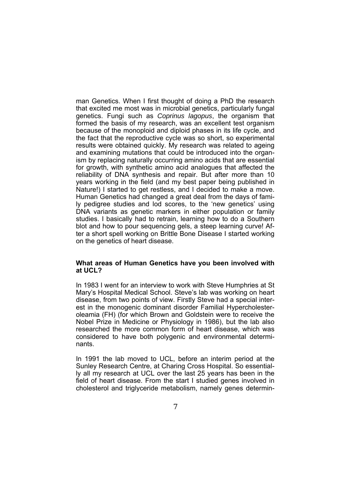man Genetics. When I first thought of doing a PhD the research that excited me most was in microbial genetics, particularly fungal genetics. Fungi such as *Coprinus lagopus*, the organism that formed the basis of my research, was an excellent test organism because of the monoploid and diploid phases in its life cycle, and the fact that the reproductive cycle was so short, so experimental results were obtained quickly. My research was related to ageing and examining mutations that could be introduced into the organism by replacing naturally occurring amino acids that are essential for growth, with synthetic amino acid analogues that affected the reliability of DNA synthesis and repair. But after more than 10 years working in the field (and my best paper being published in Nature!) I started to get restless, and I decided to make a move. Human Genetics had changed a great deal from the days of family pedigree studies and lod scores, to the 'new genetics' using DNA variants as genetic markers in either population or family studies. I basically had to retrain, learning how to do a Southern blot and how to pour sequencing gels, a steep learning curve! After a short spell working on Brittle Bone Disease I started working on the genetics of heart disease.

#### **What areas of Human Genetics have you been involved with at UCL?**

In 1983 I went for an interview to work with Steve Humphries at St Mary's Hospital Medical School. Steve's lab was working on heart disease, from two points of view. Firstly Steve had a special interest in the monogenic dominant disorder Familial Hypercholesteroleamia (FH) (for which Brown and Goldstein were to receive the Nobel Prize in Medicine or Physiology in 1986), but the lab also researched the more common form of heart disease, which was considered to have both polygenic and environmental determinants.

In 1991 the lab moved to UCL, before an interim period at the Sunley Research Centre, at Charing Cross Hospital. So essentially all my research at UCL over the last 25 years has been in the field of heart disease. From the start I studied genes involved in cholesterol and triglyceride metabolism, namely genes determin-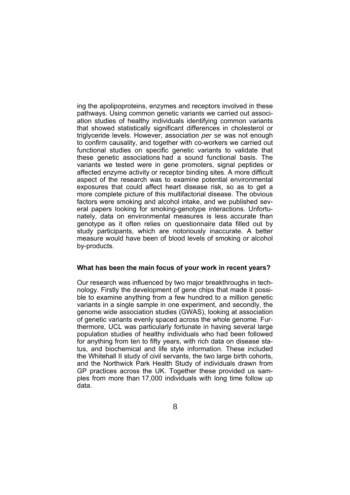ing the apolipoproteins, enzymes and receptors involved in these pathways. Using common genetic variants we carried out association studies of healthy individuals identifying common variants that showed statistically significant differences in cholesterol or triglyceride levels. However, association *per se* was not enough to confirm causality, and together with co-workers we carried out functional studies on specific genetic variants to validate that these genetic associations had a sound functional basis. The variants we tested were in gene promoters, signal peptides or affected enzyme activity or receptor binding sites. A more difficult aspect of the research was to examine potential environmental exposures that could affect heart disease risk, so as to get a more complete picture of this multifactorial disease. The obvious factors were smoking and alcohol intake, and we published several papers looking for smoking-genotype interactions. Unfortunately, data on environmental measures is less accurate than genotype as it often relies on questionnaire data filled out by study participants, which are notoriously inaccurate. A better measure would have been of blood levels of smoking or alcohol by-products.

#### **What has been the main focus of your work in recent years?**

Our research was influenced by two major breakthroughs in technology. Firstly the development of gene chips that made it possible to examine anything from a few hundred to a million genetic variants in a single sample in one experiment, and secondly, the genome wide association studies (GWAS), looking at association of genetic variants evenly spaced across the whole genome. Furthermore, UCL was particularly fortunate in having several large population studies of healthy individuals who had been followed for anything from ten to fifty years, with rich data on disease status, and biochemical and life style information. These included the Whitehall II study of civil servants, the two large birth cohorts, and the Northwick Park Health Study of individuals drawn from GP practices across the UK. Together these provided us samples from more than 17,000 individuals with long time follow up data.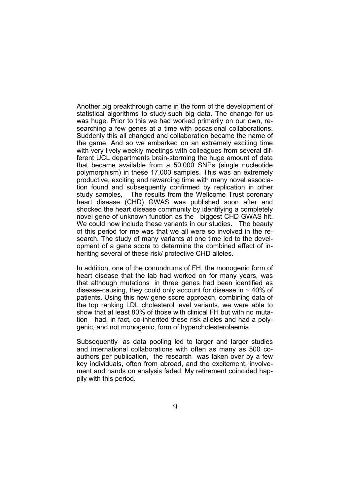Another big breakthrough came in the form of the development of statistical algorithms to study such big data. The change for us was huge. Prior to this we had worked primarily on our own, researching a few genes at a time with occasional collaborations. Suddenly this all changed and collaboration became the name of the game. And so we embarked on an extremely exciting time with very lively weekly meetings with colleagues from several different UCL departments brain-storming the huge amount of data that became available from a 50,000 SNPs (single nucleotide polymorphism) in these 17,000 samples. This was an extremely productive, exciting and rewarding time with many novel association found and subsequently confirmed by replication in other study samples, The results from the Wellcome Trust coronary heart disease (CHD) GWAS was published soon after and shocked the heart disease community by identifying a completely novel gene of unknown function as the biggest CHD GWAS hit. We could now include these variants in our studies. The beauty of this period for me was that we all were so involved in the research. The study of many variants at one time led to the development of a gene score to determine the combined effect of inheriting several of these risk/ protective CHD alleles.

In addition, one of the conundrums of FH, the monogenic form of heart disease that the lab had worked on for many years, was that although mutations in three genes had been identified as disease-causing, they could only account for disease in  $\sim$  40% of patients. Using this new gene score approach, combining data of the top ranking LDL cholesterol level variants, we were able to show that at least 80% of those with clinical FH but with no mutation had, in fact, co-inherited these risk alleles and had a polygenic, and not monogenic, form of hypercholesterolaemia.

Subsequently as data pooling led to larger and larger studies and international collaborations with often as many as 500 coauthors per publication, the research was taken over by a few key individuals, often from abroad, and the excitement, involvement and hands on analysis faded. My retirement coincided happily with this period.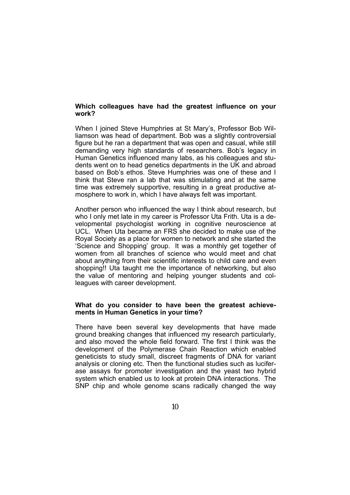#### **Which colleagues have had the greatest influence on your work?**

When I joined Steve Humphries at St Mary's, Professor Bob Williamson was head of department. Bob was a slightly controversial figure but he ran a department that was open and casual, while still demanding very high standards of researchers. Bob's legacy in Human Genetics influenced many labs, as his colleagues and students went on to head genetics departments in the UK and abroad based on Bob's ethos. Steve Humphries was one of these and I think that Steve ran a lab that was stimulating and at the same time was extremely supportive, resulting in a great productive atmosphere to work in, which I have always felt was important.

Another person who influenced the way I think about research, but who I only met late in my career is Professor Uta Frith. Uta is a developmental psychologist working in cognitive neuroscience at UCL. When Uta became an FRS she decided to make use of the Royal Society as a place for women to network and she started the 'Science and Shopping' group. It was a monthly get together of women from all branches of science who would meet and chat about anything from their scientific interests to child care and even shopping!! Uta taught me the importance of networking, but also the value of mentoring and helping younger students and colleagues with career development.

#### **What do you consider to have been the greatest achievements in Human Genetics in your time?**

There have been several key developments that have made ground breaking changes that influenced my research particularly, and also moved the whole field forward. The first I think was the development of the Polymerase Chain Reaction which enabled geneticists to study small, discreet fragments of DNA for variant analysis or cloning etc. Then the functional studies such as luciferase assays for promoter investigation and the yeast two hybrid system which enabled us to look at protein DNA interactions. The SNP chip and whole genome scans radically changed the way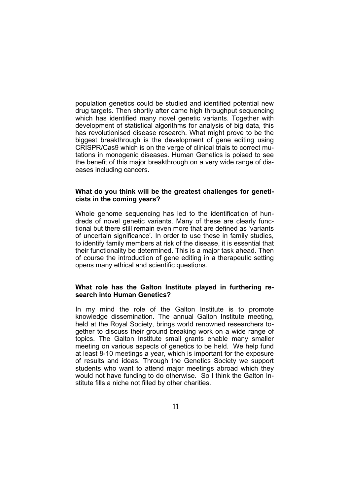population genetics could be studied and identified potential new drug targets. Then shortly after came high throughput sequencing which has identified many novel genetic variants. Together with development of statistical algorithms for analysis of big data, this has revolutionised disease research. What might prove to be the biggest breakthrough is the development of gene editing using CRISPR/Cas9 which is on the verge of clinical trials to correct mutations in monogenic diseases. Human Genetics is poised to see the benefit of this major breakthrough on a very wide range of diseases including cancers.

#### **What do you think will be the greatest challenges for geneticists in the coming years?**

Whole genome sequencing has led to the identification of hundreds of novel genetic variants. Many of these are clearly functional but there still remain even more that are defined as 'variants of uncertain significance'. In order to use these in family studies, to identify family members at risk of the disease, it is essential that their functionality be determined. This is a major task ahead. Then of course the introduction of gene editing in a therapeutic setting opens many ethical and scientific questions.

#### **What role has the Galton Institute played in furthering research into Human Genetics?**

In my mind the role of the Galton Institute is to promote knowledge dissemination. The annual Galton Institute meeting, held at the Royal Society, brings world renowned researchers together to discuss their ground breaking work on a wide range of topics. The Galton Institute small grants enable many smaller meeting on various aspects of genetics to be held. We help fund at least 8-10 meetings a year, which is important for the exposure of results and ideas. Through the Genetics Society we support students who want to attend major meetings abroad which they would not have funding to do otherwise. So I think the Galton Institute fills a niche not filled by other charities.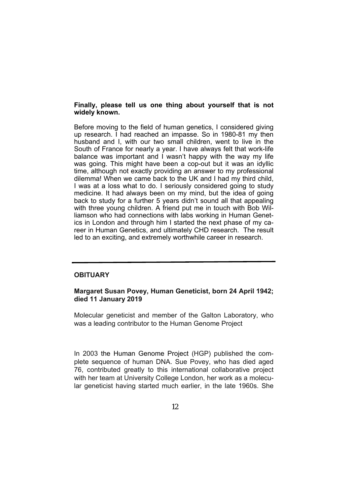#### **Finally, please tell us one thing about yourself that is not widely known.**

Before moving to the field of human genetics, I considered giving up research. I had reached an impasse. So in 1980-81 my then husband and I, with our two small children, went to live in the South of France for nearly a year. I have always felt that work-life balance was important and I wasn't happy with the way my life was going. This might have been a cop-out but it was an idyllic time, although not exactly providing an answer to my professional dilemma! When we came back to the UK and I had my third child, I was at a loss what to do. I seriously considered going to study medicine. It had always been on my mind, but the idea of going back to study for a further 5 years didn't sound all that appealing with three young children. A friend put me in touch with Bob Williamson who had connections with labs working in Human Genetics in London and through him I started the next phase of my career in Human Genetics, and ultimately CHD research. The result led to an exciting, and extremely worthwhile career in research.

#### **OBITUARY**

#### **Margaret Susan Povey, Human Geneticist, born 24 April 1942; died 11 January 2019**

Molecular geneticist and member of the Galton Laboratory, who was a leading contributor to the Human Genome Project

In 2003 the Human Genome Project (HGP) published the complete sequence of human DNA. Sue Povey, who has died aged 76, contributed greatly to this international collaborative project with her team at University College London, her work as a molecular geneticist having started much earlier, in the late 1960s. She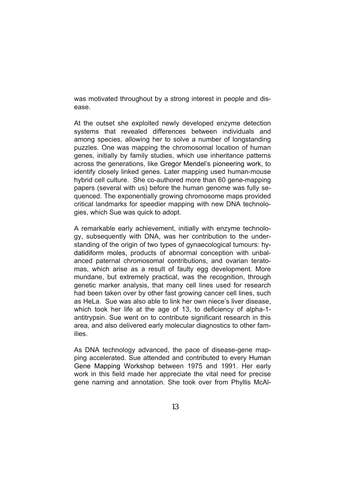was motivated throughout by a strong interest in people and disease.

At the outset she exploited newly developed enzyme detection systems that revealed differences between individuals and among species, allowing her to solve a number of longstanding puzzles. One was mapping the chromosomal location of human genes, initially by family studies, which use inheritance patterns across the generations, like Gregor Mendel's pioneering work, to identify closely linked genes. Later mapping used human-mouse hybrid cell culture. She co-authored more than 60 gene-mapping papers (several with us) before the human genome was fully sequenced. The exponentially growing chromosome maps provided critical landmarks for speedier mapping with new DNA technologies, which Sue was quick to adopt.

A remarkable early achievement, initially with enzyme technology, subsequently with DNA, was her contribution to the understanding of the origin of two types of gynaecological tumours: hydatidiform moles, products of abnormal conception with unbalanced paternal chromosomal contributions, and ovarian teratomas, which arise as a result of faulty egg development. More mundane, but extremely practical, was the recognition, through genetic marker analysis, that many cell lines used for research had been taken over by other fast growing cancer cell lines, such as HeLa. Sue was also able to link her own niece's liver disease, which took her life at the age of 13, to deficiency of alpha-1 antitrypsin. Sue went on to contribute significant research in this area, and also delivered early molecular diagnostics to other families.

As DNA technology advanced, the pace of disease-gene mapping accelerated. Sue attended and contributed to every Human Gene Mapping Workshop between 1975 and 1991. Her early work in this field made her appreciate the vital need for precise gene naming and annotation. She took over from Phyllis McAl-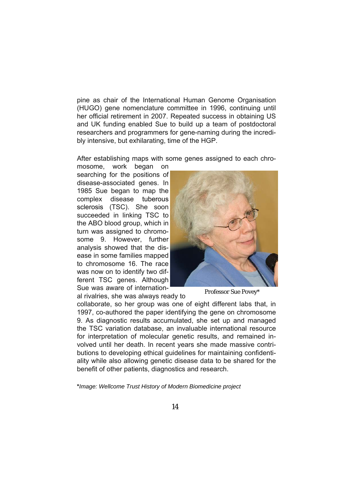pine as chair of the International Human Genome Organisation (HUGO) gene nomenclature committee in 1996, continuing until her official retirement in 2007. Repeated success in obtaining US and UK funding enabled Sue to build up a team of postdoctoral researchers and programmers for gene-naming during the incredibly intensive, but exhilarating, time of the HGP.

After establishing maps with some genes assigned to each chro-

mosome, work began on searching for the positions of disease-associated genes. In 1985 Sue began to map the complex disease tuberous sclerosis (TSC). She soon succeeded in linking TSC to the ABO blood group, which in turn was assigned to chromosome 9. However, further analysis showed that the disease in some families mapped to chromosome 16. The race was now on to identify two different TSC genes. Although Sue was aware of internation-

al rivalries, she was always ready to



Professor Sue Povey\*

collaborate, so her group was one of eight different labs that, in 1997, co-authored the paper identifying the gene on chromosome 9. As diagnostic results accumulated, she set up and managed the TSC variation database, an invaluable international resource for interpretation of molecular genetic results, and remained involved until her death. In recent years she made massive contributions to developing ethical guidelines for maintaining confidentiality while also allowing genetic disease data to be shared for the benefit of other patients, diagnostics and research.

**\****Image: Wellcome Trust History of Modern Biomedicine project*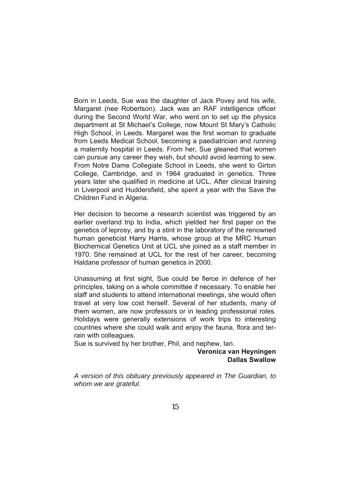Born in Leeds, Sue was the daughter of Jack Povey and his wife, Margaret (nee Robertson). Jack was an RAF intelligence officer during the Second World War, who went on to set up the physics department at St Michael's College, now Mount St Mary's Catholic High School, in Leeds. Margaret was the first woman to graduate from Leeds Medical School, becoming a paediatrician and running a maternity hospital in Leeds. From her, Sue gleaned that women can pursue any career they wish, but should avoid learning to sew. From Notre Dame Collegiate School in Leeds, she went to Girton College, Cambridge, and in 1964 graduated in genetics. Three years later she qualified in medicine at UCL. After clinical training in Liverpool and Huddersfield, she spent a year with the Save the Children Fund in Algeria.

Her decision to become a research scientist was triggered by an earlier overland trip to India, which yielded her first paper on the genetics of leprosy, and by a stint in the laboratory of the renowned human geneticist Harry Harris, whose group at the MRC Human Biochemical Genetics Unit at UCL she joined as a staff member in 1970. She remained at UCL for the rest of her career, becoming Haldane professor of human genetics in 2000.

Unassuming at first sight, Sue could be fierce in defence of her principles, taking on a whole committee if necessary. To enable her staff and students to attend international meetings, she would often travel at very low cost herself. Several of her students, many of them women, are now professors or in leading professional roles. Holidays were generally extensions of work trips to interesting countries where she could walk and enjoy the fauna, flora and terrain with colleagues.

Sue is survived by her brother, Phil, and nephew, Ian.

## **Veronica van Heyningen Dallas Swallow**

*A version of this obituary previously appeared in The Guardian, to whom we are grateful.*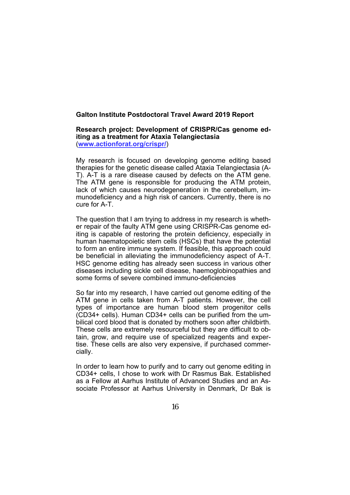#### **Galton Institute Postdoctoral Travel Award 2019 Report**

#### **Research project: Development of CRISPR/Cas genome editing as a treatment for Ataxia Telangiectasia** (**www.actionforat.org/crispr/**)

My research is focused on developing genome editing based therapies for the genetic disease called Ataxia Telangiectasia (A-T). A-T is a rare disease caused by defects on the ATM gene. The ATM gene is responsible for producing the ATM protein, lack of which causes neurodegeneration in the cerebellum, immunodeficiency and a high risk of cancers. Currently, there is no cure for A-T.

The question that I am trying to address in my research is whether repair of the faulty ATM gene using CRISPR-Cas genome editing is capable of restoring the protein deficiency, especially in human haematopoietic stem cells (HSCs) that have the potential to form an entire immune system. If feasible, this approach could be beneficial in alleviating the immunodeficiency aspect of A-T. HSC genome editing has already seen success in various other diseases including sickle cell disease, haemoglobinopathies and some forms of severe combined immuno-deficiencies

So far into my research, I have carried out genome editing of the ATM gene in cells taken from A-T patients. However, the cell types of importance are human blood stem progenitor cells (CD34+ cells). Human CD34+ cells can be purified from the umbilical cord blood that is donated by mothers soon after childbirth. These cells are extremely resourceful but they are difficult to obtain, grow, and require use of specialized reagents and expertise. These cells are also very expensive, if purchased commercially.

In order to learn how to purify and to carry out genome editing in CD34+ cells, I chose to work with Dr Rasmus Bak. Established as a Fellow at Aarhus Institute of Advanced Studies and an Associate Professor at Aarhus University in Denmark, Dr Bak is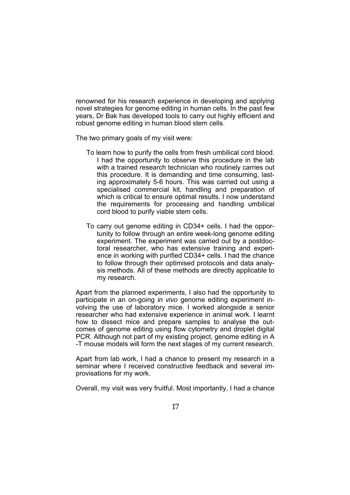renowned for his research experience in developing and applying novel strategies for genome editing in human cells. In the past few years, Dr Bak has developed tools to carry out highly efficient and robust genome editing in human blood stem cells.

The two primary goals of my visit were:

- To learn how to purify the cells from fresh umbilical cord blood. I had the opportunity to observe this procedure in the lab with a trained research technician who routinely carries out this procedure. It is demanding and time consuming, lasting approximately 5-6 hours. This was carried out using a specialised commercial kit, handling and preparation of which is critical to ensure optimal results. I now understand the requirements for processing and handling umbilical cord blood to purify viable stem cells.
- To carry out genome editing in CD34+ cells. I had the opportunity to follow through an entire week-long genome editing experiment. The experiment was carried out by a postdoctoral researcher, who has extensive training and experience in working with purified CD34+ cells. I had the chance to follow through their optimised protocols and data analysis methods. All of these methods are directly applicable to my research.

Apart from the planned experiments, I also had the opportunity to participate in an on-going *in vivo* genome editing experiment involving the use of laboratory mice. I worked alongside a senior researcher who had extensive experience in animal work. I learnt how to dissect mice and prepare samples to analyse the outcomes of genome editing using flow cytometry and droplet digital PCR. Although not part of my existing project, genome editing in A -T mouse models will form the next stages of my current research.

Apart from lab work, I had a chance to present my research in a seminar where I received constructive feedback and several improvisations for my work.

Overall, my visit was very fruitful. Most importantly, I had a chance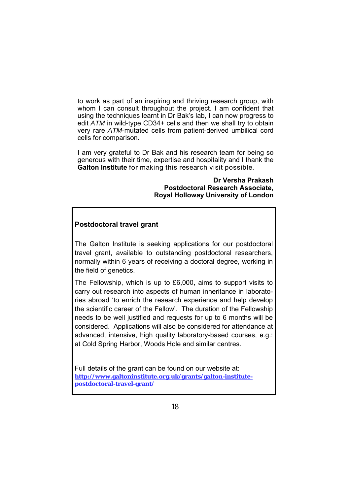to work as part of an inspiring and thriving research group, with whom I can consult throughout the project. I am confident that using the techniques learnt in Dr Bak's lab, I can now progress to edit *ATM* in wild-type CD34+ cells and then we shall try to obtain very rare *ATM*-mutated cells from patient-derived umbilical cord cells for comparison.

I am very grateful to Dr Bak and his research team for being so generous with their time, expertise and hospitality and I thank the **Galton Institute** for making this research visit possible.

> **Dr Versha Prakash Postdoctoral Research Associate, Royal Holloway University of London**

# **Postdoctoral travel grant**

The Galton Institute is seeking applications for our postdoctoral travel grant, available to outstanding postdoctoral researchers, normally within 6 years of receiving a doctoral degree, working in the field of genetics.

The Fellowship, which is up to £6,000, aims to support visits to carry out research into aspects of human inheritance in laboratories abroad 'to enrich the research experience and help develop the scientific career of the Fellow'. The duration of the Fellowship needs to be well justified and requests for up to 6 months will be considered. Applications will also be considered for attendance at advanced, intensive, high quality laboratory-based courses, e.g.: at Cold Spring Harbor, Woods Hole and similar centres.

Full details of the grant can be found on our website at: **http://www.galtoninstitute.org.uk/grants/galton-institutepostdoctoral-travel-grant/**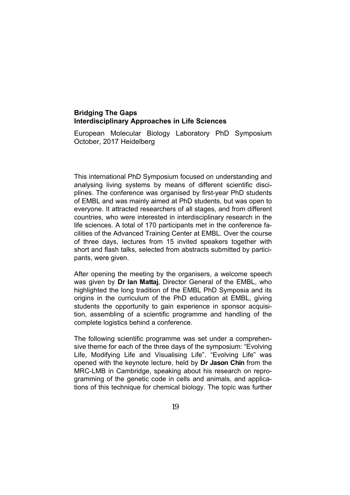# **Bridging The Gaps Interdisciplinary Approaches in Life Sciences**

European Molecular Biology Laboratory PhD Symposium October, 2017 Heidelberg

This international PhD Symposium focused on understanding and analysing living systems by means of different scientific disciplines. The conference was organised by first-year PhD students of EMBL and was mainly aimed at PhD students, but was open to everyone. It attracted researchers of all stages, and from different countries, who were interested in interdisciplinary research in the life sciences. A total of 170 participants met in the conference facilities of the Advanced Training Center at EMBL. Over the course of three days, lectures from 15 invited speakers together with short and flash talks, selected from abstracts submitted by participants, were given.

After opening the meeting by the organisers, a welcome speech was given by **Dr Ian Mattaj**, Director General of the EMBL, who highlighted the long tradition of the EMBL PhD Symposia and its origins in the curriculum of the PhD education at EMBL, giving students the opportunity to gain experience in sponsor acquisition, assembling of a scientific programme and handling of the complete logistics behind a conference.

The following scientific programme was set under a comprehensive theme for each of the three days of the symposium: "Evolving Life, Modifying Life and Visualising Life". "Evolving Life" was opened with the keynote lecture, held by **Dr Jason Chin** from the MRC-LMB in Cambridge, speaking about his research on reprogramming of the genetic code in cells and animals, and applications of this technique for chemical biology. The topic was further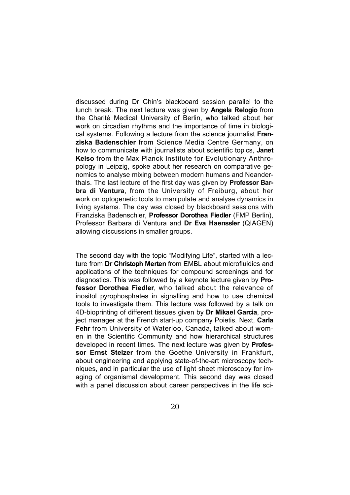discussed during Dr Chin's blackboard session parallel to the lunch break. The next lecture was given by **Angela Relogio** from the Charité Medical University of Berlin, who talked about her work on circadian rhythms and the importance of time in biological systems. Following a lecture from the science journalist **Franziska Badenschier** from Science Media Centre Germany, on how to communicate with journalists about scientific topics, **Janet Kelso** from the Max Planck Institute for Evolutionary Anthropology in Leipzig, spoke about her research on comparative genomics to analyse mixing between modern humans and Neanderthals. The last lecture of the first day was given by **Professor Barbra di Ventura**, from the University of Freiburg, about her work on optogenetic tools to manipulate and analyse dynamics in living systems. The day was closed by blackboard sessions with Franziska Badenschier, **Professor Dorothea Fiedler** (FMP Berlin), Professor Barbara di Ventura and **Dr Eva Haenssler** (QIAGEN) allowing discussions in smaller groups.

The second day with the topic "Modifying Life", started with a lecture from **Dr Christoph Merten** from EMBL about microfluidics and applications of the techniques for compound screenings and for diagnostics. This was followed by a keynote lecture given by **Professor Dorothea Fiedler**, who talked about the relevance of inositol pyrophosphates in signalling and how to use chemical tools to investigate them. This lecture was followed by a talk on 4D-bioprinting of different tissues given by **Dr Mikael Garcia**, project manager at the French start-up company Poietis. Next, **Carla Fehr** from University of Waterloo, Canada, talked about women in the Scientific Community and how hierarchical structures developed in recent times. The next lecture was given by **Professor Ernst Stelzer** from the Goethe University in Frankfurt, about engineering and applying state-of-the-art microscopy techniques, and in particular the use of light sheet microscopy for imaging of organismal development. This second day was closed with a panel discussion about career perspectives in the life sci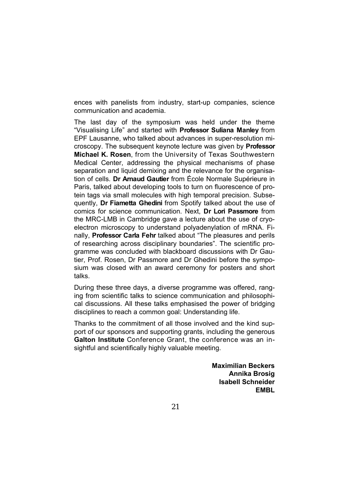ences with panelists from industry, start-up companies, science communication and academia.

The last day of the symposium was held under the theme "Visualising Life" and started with **Professor Suliana Manley** from EPF Lausanne, who talked about advances in super-resolution microscopy. The subsequent keynote lecture was given by **Professor Michael K. Rosen**, from the University of Texas Southwestern Medical Center, addressing the physical mechanisms of phase separation and liquid demixing and the relevance for the organisation of cells. **Dr Arnaud Gautier** from École Normale Supérieure in Paris, talked about developing tools to turn on fluorescence of protein tags via small molecules with high temporal precision. Subsequently, **Dr Fiametta Ghedini** from Spotify talked about the use of comics for science communication. Next, **Dr Lori Passmore** from the MRC-LMB in Cambridge gave a lecture about the use of cryoelectron microscopy to understand polyadenylation of mRNA. Finally, **Professor Carla Fehr** talked about "The pleasures and perils of researching across disciplinary boundaries". The scientific programme was concluded with blackboard discussions with Dr Gautier, Prof. Rosen, Dr Passmore and Dr Ghedini before the symposium was closed with an award ceremony for posters and short talks.

During these three days, a diverse programme was offered, ranging from scientific talks to science communication and philosophical discussions. All these talks emphasised the power of bridging disciplines to reach a common goal: Understanding life.

Thanks to the commitment of all those involved and the kind support of our sponsors and supporting grants, including the generous **Galton Institute** Conference Grant, the conference was an insightful and scientifically highly valuable meeting.

> **Maximilian Beckers Annika Brosig Isabell Schneider EMBL**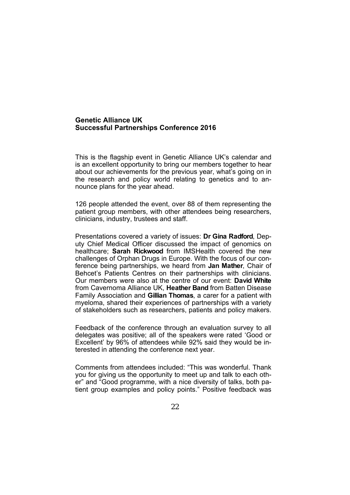#### **Genetic Alliance UK Successful Partnerships Conference 2016**

This is the flagship event in Genetic Alliance UK's calendar and is an excellent opportunity to bring our members together to hear about our achievements for the previous year, what's going on in the research and policy world relating to genetics and to announce plans for the year ahead.

126 people attended the event, over 88 of them representing the patient group members, with other attendees being researchers, clinicians, industry, trustees and staff.

Presentations covered a variety of issues: **Dr Gina Radford**, Deputy Chief Medical Officer discussed the impact of genomics on healthcare; **Sarah Rickwood** from IMSHealth covered the new challenges of Orphan Drugs in Europe. With the focus of our conference being partnerships, we heard from **Jan Mather**, Chair of Behcet's Patients Centres on their partnerships with clinicians. Our members were also at the centre of our event: **David White** from Cavernoma Alliance UK, **Heather Band** from Batten Disease Family Association and **Gillian Thomas**, a carer for a patient with myeloma, shared their experiences of partnerships with a variety of stakeholders such as researchers, patients and policy makers.

Feedback of the conference through an evaluation survey to all delegates was positive; all of the speakers were rated 'Good or Excellent' by 96% of attendees while 92% said they would be interested in attending the conference next year.

Comments from attendees included: "This was wonderful. Thank you for giving us the opportunity to meet up and talk to each other" and "Good programme, with a nice diversity of talks, both patient group examples and policy points." Positive feedback was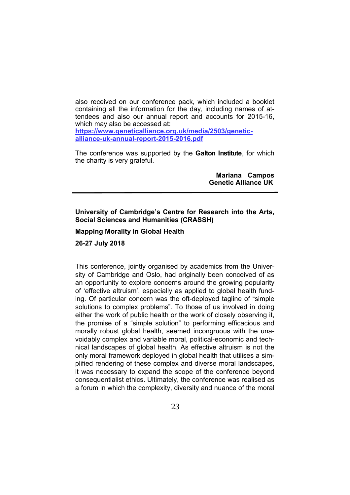also received on our conference pack, which included a booklet containing all the information for the day, including names of attendees and also our annual report and accounts for 2015-16, which may also be accessed at: **https://www.geneticalliance.org.uk/media/2503/genetic-**

**alliance-uk-annual-report-2015-2016.pdf** 

The conference was supported by the **Galton Institute**, for which the charity is very grateful.

> **Mariana Campos Genetic Alliance UK**

### **University of Cambridge's Centre for Research into the Arts, Social Sciences and Humanities (CRASSH)**

**Mapping Morality in Global Health** 

**26-27 July 2018** 

This conference, jointly organised by academics from the University of Cambridge and Oslo, had originally been conceived of as an opportunity to explore concerns around the growing popularity of 'effective altruism', especially as applied to global health funding. Of particular concern was the oft-deployed tagline of "simple solutions to complex problems". To those of us involved in doing either the work of public health or the work of closely observing it, the promise of a "simple solution" to performing efficacious and morally robust global health, seemed incongruous with the unavoidably complex and variable moral, political-economic and technical landscapes of global health. As effective altruism is not the only moral framework deployed in global health that utilises a simplified rendering of these complex and diverse moral landscapes, it was necessary to expand the scope of the conference beyond consequentialist ethics. Ultimately, the conference was realised as a forum in which the complexity, diversity and nuance of the moral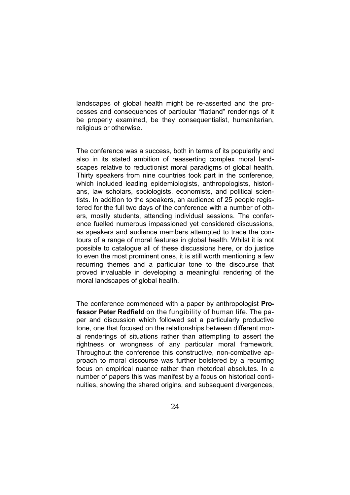landscapes of global health might be re-asserted and the processes and consequences of particular "flatland" renderings of it be properly examined, be they consequentialist, humanitarian, religious or otherwise.

The conference was a success, both in terms of its popularity and also in its stated ambition of reasserting complex moral landscapes relative to reductionist moral paradigms of global health. Thirty speakers from nine countries took part in the conference, which included leading epidemiologists, anthropologists, historians, law scholars, sociologists, economists, and political scientists. In addition to the speakers, an audience of 25 people registered for the full two days of the conference with a number of others, mostly students, attending individual sessions. The conference fuelled numerous impassioned yet considered discussions, as speakers and audience members attempted to trace the contours of a range of moral features in global health. Whilst it is not possible to catalogue all of these discussions here, or do justice to even the most prominent ones, it is still worth mentioning a few recurring themes and a particular tone to the discourse that proved invaluable in developing a meaningful rendering of the moral landscapes of global health.

The conference commenced with a paper by anthropologist **Professor Peter Redfield** on the fungibility of human life. The paper and discussion which followed set a particularly productive tone, one that focused on the relationships between different moral renderings of situations rather than attempting to assert the rightness or wrongness of any particular moral framework. Throughout the conference this constructive, non-combative approach to moral discourse was further bolstered by a recurring focus on empirical nuance rather than rhetorical absolutes. In a number of papers this was manifest by a focus on historical continuities, showing the shared origins, and subsequent divergences,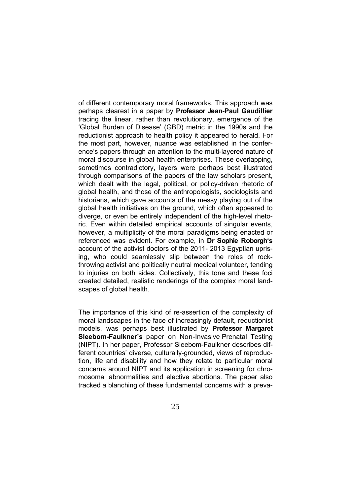of different contemporary moral frameworks. This approach was perhaps clearest in a paper by **Professor Jean-Paul Gaudillier** tracing the linear, rather than revolutionary, emergence of the 'Global Burden of Disease' (GBD) metric in the 1990s and the reductionist approach to health policy it appeared to herald. For the most part, however, nuance was established in the conference's papers through an attention to the multi-layered nature of moral discourse in global health enterprises. These overlapping, sometimes contradictory, layers were perhaps best illustrated through comparisons of the papers of the law scholars present, which dealt with the legal, political, or policy-driven rhetoric of global health, and those of the anthropologists, sociologists and historians, which gave accounts of the messy playing out of the global health initiatives on the ground, which often appeared to diverge, or even be entirely independent of the high-level rhetoric. Even within detailed empirical accounts of singular events, however, a multiplicity of the moral paradigms being enacted or referenced was evident. For example, in **Dr Sophie Roborgh's** account of the activist doctors of the 2011- 2013 Egyptian uprising, who could seamlessly slip between the roles of rockthrowing activist and politically neutral medical volunteer, tending to injuries on both sides. Collectively, this tone and these foci created detailed, realistic renderings of the complex moral landscapes of global health.

The importance of this kind of re-assertion of the complexity of moral landscapes in the face of increasingly default, reductionist models, was perhaps best illustrated by **Professor Margaret Sleebom-Faulkner's** paper on Non-Invasive Prenatal Testing (NIPT). In her paper, Professor Sleebom-Faulkner describes different countries' diverse, culturally-grounded, views of reproduction, life and disability and how they relate to particular moral concerns around NIPT and its application in screening for chromosomal abnormalities and elective abortions. The paper also tracked a blanching of these fundamental concerns with a preva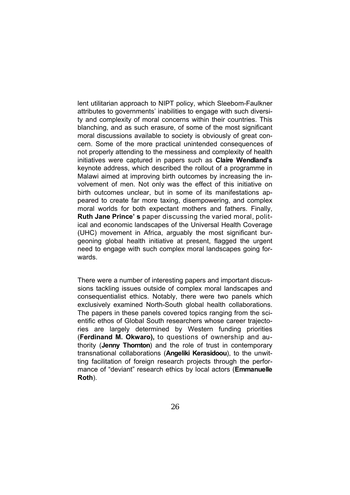lent utilitarian approach to NIPT policy, which Sleebom-Faulkner attributes to governments' inabilities to engage with such diversity and complexity of moral concerns within their countries. This blanching, and as such erasure, of some of the most significant moral discussions available to society is obviously of great concern. Some of the more practical unintended consequences of not properly attending to the messiness and complexity of health initiatives were captured in papers such as **Claire Wendland's** keynote address, which described the rollout of a programme in Malawi aimed at improving birth outcomes by increasing the involvement of men. Not only was the effect of this initiative on birth outcomes unclear, but in some of its manifestations appeared to create far more taxing, disempowering, and complex moral worlds for both expectant mothers and fathers. Finally, **Ruth Jane Prince' s** paper discussing the varied moral, political and economic landscapes of the Universal Health Coverage (UHC) movement in Africa, arguably the most significant burgeoning global health initiative at present, flagged the urgent need to engage with such complex moral landscapes going forwards.

There were a number of interesting papers and important discussions tackling issues outside of complex moral landscapes and consequentialist ethics. Notably, there were two panels which exclusively examined North-South global health collaborations. The papers in these panels covered topics ranging from the scientific ethos of Global South researchers whose career trajectories are largely determined by Western funding priorities (**Ferdinand M. Okwaro),** to questions of ownership and authority (**Jenny Thornton**) and the role of trust in contemporary transnational collaborations (**Angeliki Kerasidoou**), to the unwitting facilitation of foreign research projects through the performance of "deviant" research ethics by local actors (**Emmanuelle Roth**).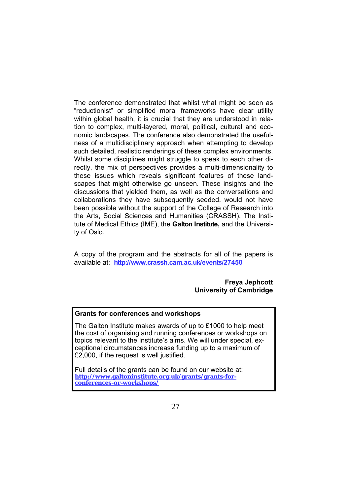The conference demonstrated that whilst what might be seen as "reductionist" or simplified moral frameworks have clear utility within global health, it is crucial that they are understood in relation to complex, multi-layered, moral, political, cultural and economic landscapes. The conference also demonstrated the usefulness of a multidisciplinary approach when attempting to develop such detailed, realistic renderings of these complex environments. Whilst some disciplines might struggle to speak to each other directly, the mix of perspectives provides a multi-dimensionality to these issues which reveals significant features of these landscapes that might otherwise go unseen. These insights and the discussions that yielded them, as well as the conversations and collaborations they have subsequently seeded, would not have been possible without the support of the College of Research into the Arts, Social Sciences and Humanities (CRASSH), The Institute of Medical Ethics (IME), the **Galton Institute,** and the University of Oslo.

A copy of the program and the abstracts for all of the papers is available at: **http://www.crassh.cam.ac.uk/events/27450**

## **Freya Jephcott University of Cambridge**

# **Grants for conferences and workshops**

The Galton Institute makes awards of up to £1000 to help meet the cost of organising and running conferences or workshops on topics relevant to the Institute's aims. We will under special, exceptional circumstances increase funding up to a maximum of £2,000, if the request is well justified.

Full details of the grants can be found on our website at: **http://www.galtoninstitute.org.uk/grants/grants-forconferences-or-workshops/**